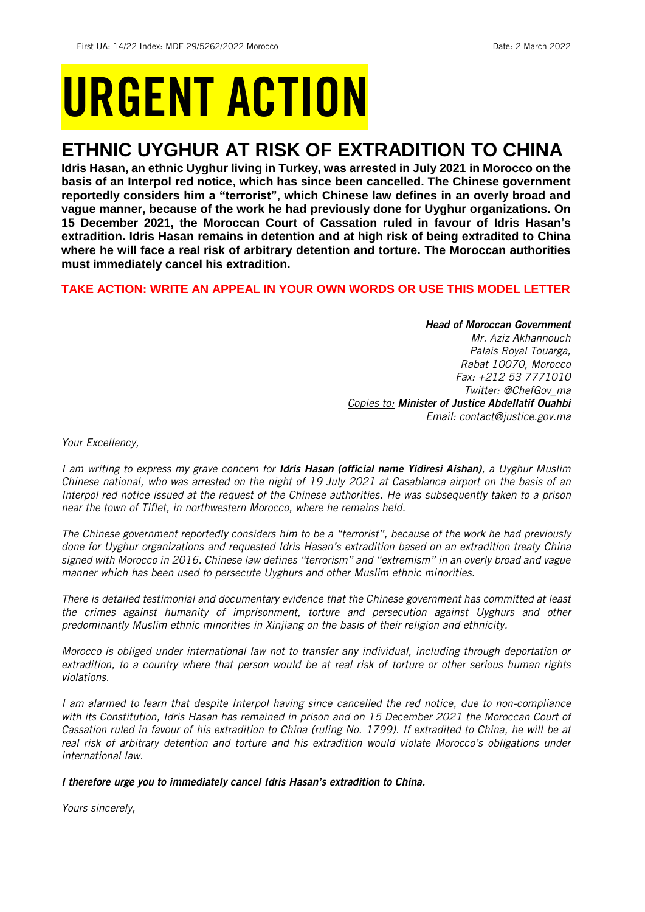# URGENT ACTION

## **ETHNIC UYGHUR AT RISK OF EXTRADITION TO CHINA**

**Idris Hasan, an ethnic Uyghur living in Turkey, was arrested in July 2021 in Morocco on the basis of an Interpol red notice, which has since been cancelled. The Chinese government reportedly considers him a "terrorist", which Chinese law defines in an overly broad and vague manner, because of the work he had previously done for Uyghur organizations. On 15 December 2021, the Moroccan Court of Cassation ruled in favour of Idris Hasan's extradition. Idris Hasan remains in detention and at high risk of being extradited to China where he will face a real risk of arbitrary detention and torture. The Moroccan authorities must immediately cancel his extradition.**

#### **TAKE ACTION: WRITE AN APPEAL IN YOUR OWN WORDS OR USE THIS MODEL LETTER**

#### *Head of Moroccan Government*

*Mr. Aziz Akhannouch Palais Royal Touarga, Rabat 10070, Morocco Fax: +212 53 7771010 Twitter: @ChefGov\_ma Copies to: Minister of Justice Abdellatif Ouahbi Email: contact@justice.gov.ma*

*Your Excellency,* 

*I am writing to express my grave concern for Idris Hasan (official name Yidiresi Aishan), a Uyghur Muslim Chinese national, who was arrested on the night of 19 July 2021 at Casablanca airport on the basis of an Interpol red notice issued at the request of the Chinese authorities. He was subsequently taken to a prison near the town of Tiflet, in northwestern Morocco, where he remains held.*

*The Chinese government reportedly considers him to be a "terrorist", because of the work he had previously done for Uyghur organizations and requested Idris Hasan's extradition based on an extradition treaty China signed with Morocco in 2016. Chinese law defines "terrorism" and "extremism" in an overly broad and vague manner which has been used to persecute Uyghurs and other Muslim ethnic minorities.*

*There is detailed testimonial and documentary evidence that the Chinese government has committed at least the crimes against humanity of imprisonment, torture and persecution against Uyghurs and other predominantly Muslim ethnic minorities in Xinjiang on the basis of their religion and ethnicity.*

*Morocco is obliged under international law not to transfer any individual, including through deportation or extradition, to a country where that person would be at real risk of torture or other serious human rights violations.*

*I am alarmed to learn that despite Interpol having since cancelled the red notice, due to non-compliance with its Constitution, Idris Hasan has remained in prison and on 15 December 2021 the Moroccan Court of Cassation ruled in favour of his extradition to China (ruling No. 1799). If extradited to China, he will be at real risk of arbitrary detention and torture and his extradition would violate Morocco's obligations under international law.*

#### *I therefore urge you to immediately cancel Idris Hasan's extradition to China.*

*Yours sincerely,*